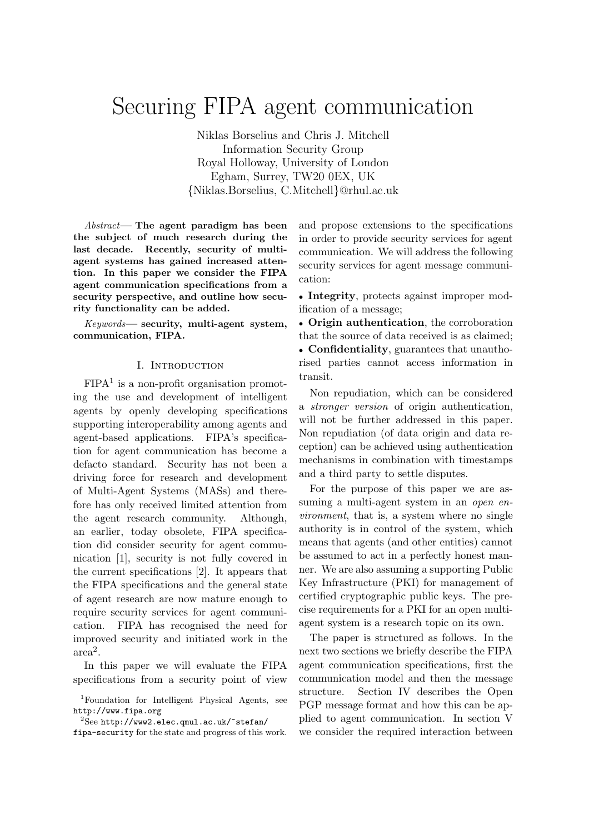# Securing FIPA agent communication

Niklas Borselius and Chris J. Mitchell Information Security Group Royal Holloway, University of London Egham, Surrey, TW20 0EX, UK {Niklas.Borselius, C.Mitchell}@rhul.ac.uk

 $Abstract$ — The agent paradigm has been the subject of much research during the last decade. Recently, security of multiagent systems has gained increased attention. In this paper we consider the FIPA agent communication specifications from a security perspective, and outline how security functionality can be added.

Keywords— security, multi-agent system, communication, FIPA.

# I. Introduction

 $FIPA<sup>1</sup>$  is a non-profit organisation promoting the use and development of intelligent agents by openly developing specifications supporting interoperability among agents and agent-based applications. FIPA's specification for agent communication has become a defacto standard. Security has not been a driving force for research and development of Multi-Agent Systems (MASs) and therefore has only received limited attention from the agent research community. Although, an earlier, today obsolete, FIPA specification did consider security for agent communication [1], security is not fully covered in the current specifications [2]. It appears that the FIPA specifications and the general state of agent research are now mature enough to require security services for agent communication. FIPA has recognised the need for improved security and initiated work in the  $\tilde{\text{area}^2}$ .

In this paper we will evaluate the FIPA specifications from a security point of view and propose extensions to the specifications in order to provide security services for agent communication. We will address the following security services for agent message communication:

• Integrity, protects against improper modification of a message;

• Origin authentication, the corroboration that the source of data received is as claimed; • Confidentiality, guarantees that unauthorised parties cannot access information in transit.

Non repudiation, which can be considered a stronger version of origin authentication, will not be further addressed in this paper. Non repudiation (of data origin and data reception) can be achieved using authentication mechanisms in combination with timestamps and a third party to settle disputes.

For the purpose of this paper we are assuming a multi-agent system in an *open en*vironment, that is, a system where no single authority is in control of the system, which means that agents (and other entities) cannot be assumed to act in a perfectly honest manner. We are also assuming a supporting Public Key Infrastructure (PKI) for management of certified cryptographic public keys. The precise requirements for a PKI for an open multiagent system is a research topic on its own.

The paper is structured as follows. In the next two sections we briefly describe the FIPA agent communication specifications, first the communication model and then the message structure. Section IV describes the Open PGP message format and how this can be applied to agent communication. In section V we consider the required interaction between

<sup>1</sup>Foundation for Intelligent Physical Agents, see http://www.fipa.org

 $2$ See http://www2.elec.qmul.ac.uk/~stefan/

fipa-security for the state and progress of this work.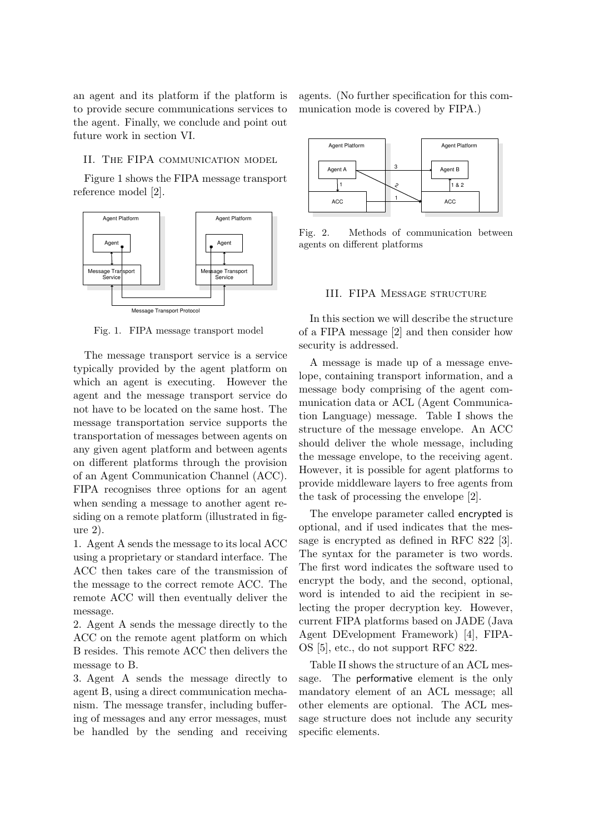an agent and its platform if the platform is to provide secure communications services to the agent. Finally, we conclude and point out future work in section VI.

# II. The FIPA communication model

Figure 1 shows the FIPA message transport reference model [2].



Fig. 1. FIPA message transport model

The message transport service is a service typically provided by the agent platform on which an agent is executing. However the agent and the message transport service do not have to be located on the same host. The message transportation service supports the transportation of messages between agents on any given agent platform and between agents on different platforms through the provision of an Agent Communication Channel (ACC). FIPA recognises three options for an agent when sending a message to another agent residing on a remote platform (illustrated in figure 2).

1. Agent A sends the message to its local ACC using a proprietary or standard interface. The ACC then takes care of the transmission of the message to the correct remote ACC. The remote ACC will then eventually deliver the message.

2. Agent A sends the message directly to the ACC on the remote agent platform on which B resides. This remote ACC then delivers the message to B.

3. Agent A sends the message directly to agent B, using a direct communication mechanism. The message transfer, including buffering of messages and any error messages, must be handled by the sending and receiving agents. (No further specification for this communication mode is covered by FIPA.)



Fig. 2. Methods of communication between agents on different platforms

#### III. FIPA Message structure

In this section we will describe the structure of a FIPA message [2] and then consider how security is addressed.

A message is made up of a message envelope, containing transport information, and a message body comprising of the agent communication data or ACL (Agent Communication Language) message. Table I shows the structure of the message envelope. An ACC should deliver the whole message, including the message envelope, to the receiving agent. However, it is possible for agent platforms to provide middleware layers to free agents from the task of processing the envelope [2].

The envelope parameter called encrypted is optional, and if used indicates that the message is encrypted as defined in RFC 822 [3]. The syntax for the parameter is two words. The first word indicates the software used to encrypt the body, and the second, optional, word is intended to aid the recipient in selecting the proper decryption key. However, current FIPA platforms based on JADE (Java Agent DEvelopment Framework) [4], FIPA-OS [5], etc., do not support RFC 822.

Table II shows the structure of an ACL message. The performative element is the only mandatory element of an ACL message; all other elements are optional. The ACL message structure does not include any security specific elements.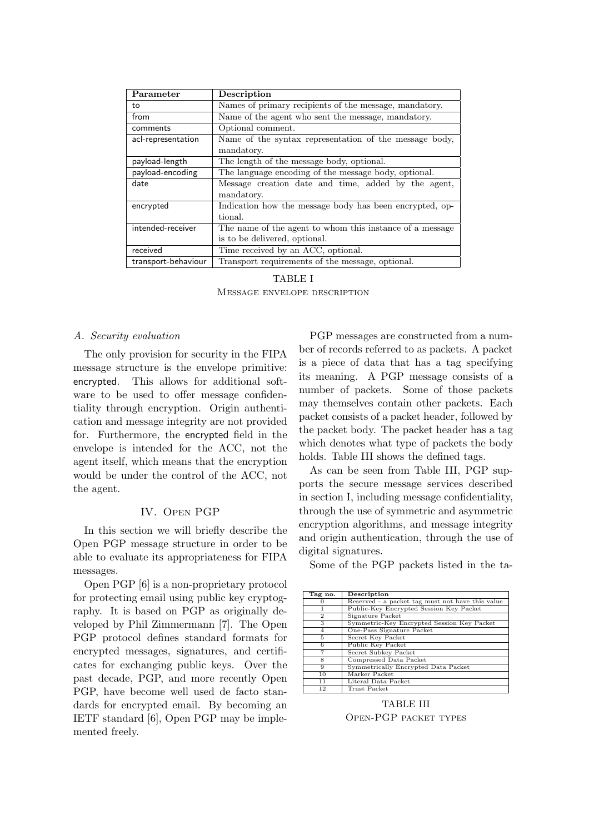| Parameter           | Description                                              |
|---------------------|----------------------------------------------------------|
| to                  | Names of primary recipients of the message, mandatory.   |
| from                | Name of the agent who sent the message, mandatory.       |
| comments            | Optional comment.                                        |
| acl-representation  | Name of the syntax representation of the message body,   |
|                     | mandatory.                                               |
| payload-length      | The length of the message body, optional.                |
| payload-encoding    | The language encoding of the message body, optional.     |
| date                | Message creation date and time, added by the agent,      |
|                     | mandatory.                                               |
| encrypted           | Indication how the message body has been encrypted, op-  |
|                     | tional.                                                  |
| intended-receiver   | The name of the agent to whom this instance of a message |
|                     | is to be delivered, optional.                            |
| received            | Time received by an ACC, optional.                       |
| transport-behaviour | Transport requirements of the message, optional.         |

TABLE I Message envelope description

# A. Security evaluation

The only provision for security in the FIPA message structure is the envelope primitive: encrypted. This allows for additional software to be used to offer message confidentiality through encryption. Origin authentication and message integrity are not provided for. Furthermore, the encrypted field in the envelope is intended for the ACC, not the agent itself, which means that the encryption would be under the control of the ACC, not the agent.

#### IV. Open PGP

In this section we will briefly describe the Open PGP message structure in order to be able to evaluate its appropriateness for FIPA messages.

Open PGP [6] is a non-proprietary protocol for protecting email using public key cryptography. It is based on PGP as originally developed by Phil Zimmermann [7]. The Open PGP protocol defines standard formats for encrypted messages, signatures, and certificates for exchanging public keys. Over the past decade, PGP, and more recently Open PGP, have become well used de facto standards for encrypted email. By becoming an IETF standard [6], Open PGP may be implemented freely.

PGP messages are constructed from a number of records referred to as packets. A packet is a piece of data that has a tag specifying its meaning. A PGP message consists of a number of packets. Some of those packets may themselves contain other packets. Each packet consists of a packet header, followed by the packet body. The packet header has a tag which denotes what type of packets the body holds. Table III shows the defined tags.

As can be seen from Table III, PGP supports the secure message services described in section I, including message confidentiality, through the use of symmetric and asymmetric encryption algorithms, and message integrity and origin authentication, through the use of digital signatures.

Some of the PGP packets listed in the ta-

| Tag no.  | Description                                      |
|----------|--------------------------------------------------|
| $\Omega$ | Reserved - a packet tag must not have this value |
|          | Public-Key Encrypted Session Key Packet          |
| 2        | Signature Packet                                 |
| 3        | Symmetric-Key Encrypted Session Key Packet       |
|          | One-Pass Signature Packet                        |
| 5        | Secret Key Packet                                |
| 6        | Public Key Packet                                |
|          | Secret Subkey Packet                             |
| 8        | Compressed Data Packet                           |
| Q        | Symmetrically Encrypted Data Packet              |
| 10       | Marker Packet                                    |
| 11       | Literal Data Packet                              |
| 12       | Trust Packet                                     |

TABLE III Open-PGP packet types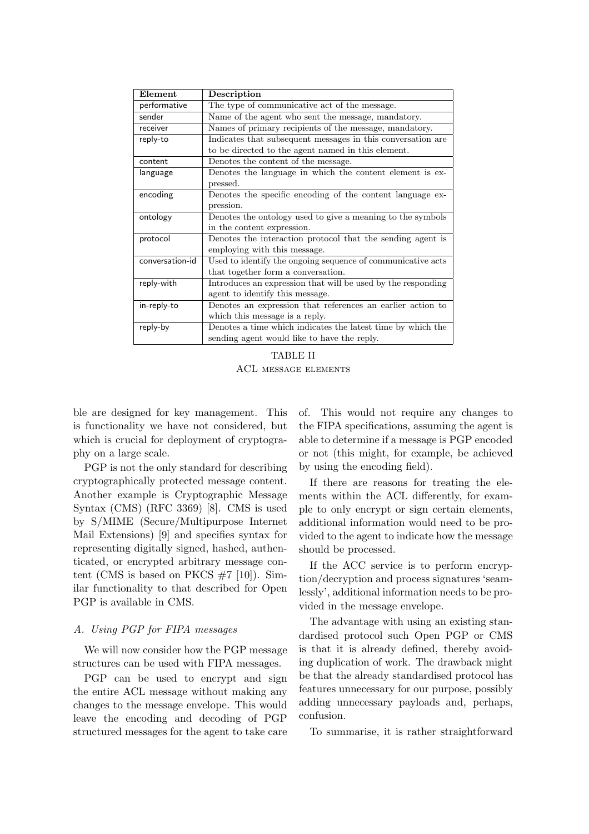| Element         | Description                                                  |
|-----------------|--------------------------------------------------------------|
| performative    | The type of communicative act of the message.                |
| sender          | Name of the agent who sent the message, mandatory.           |
| receiver        | Names of primary recipients of the message, mandatory.       |
| reply-to        | Indicates that subsequent messages in this conversation are  |
|                 | to be directed to the agent named in this element.           |
| content         | Denotes the content of the message.                          |
| language        | Denotes the language in which the content element is ex-     |
|                 | pressed.                                                     |
| encoding        | Denotes the specific encoding of the content language ex-    |
|                 | pression.                                                    |
| ontology        | Denotes the ontology used to give a meaning to the symbols   |
|                 | in the content expression.                                   |
| protocol        | Denotes the interaction protocol that the sending agent is   |
|                 | employing with this message.                                 |
| conversation-id | Used to identify the ongoing sequence of communicative acts  |
|                 | that together form a conversation.                           |
| reply-with      | Introduces an expression that will be used by the responding |
|                 | agent to identify this message.                              |
| in-reply-to     | Denotes an expression that references an earlier action to   |
|                 | which this message is a reply.                               |
| reply-by        | Denotes a time which indicates the latest time by which the  |
|                 | sending agent would like to have the reply.                  |

TABLE II ACL message elements

ble are designed for key management. This is functionality we have not considered, but which is crucial for deployment of cryptography on a large scale.

PGP is not the only standard for describing cryptographically protected message content. Another example is Cryptographic Message Syntax (CMS) (RFC 3369) [8]. CMS is used by S/MIME (Secure/Multipurpose Internet Mail Extensions) [9] and specifies syntax for representing digitally signed, hashed, authenticated, or encrypted arbitrary message content (CMS is based on PKCS  $\#7$  [10]). Similar functionality to that described for Open PGP is available in CMS.

# A. Using PGP for FIPA messages

We will now consider how the PGP message structures can be used with FIPA messages.

PGP can be used to encrypt and sign the entire ACL message without making any changes to the message envelope. This would leave the encoding and decoding of PGP structured messages for the agent to take care of. This would not require any changes to the FIPA specifications, assuming the agent is able to determine if a message is PGP encoded or not (this might, for example, be achieved by using the encoding field).

If there are reasons for treating the elements within the ACL differently, for example to only encrypt or sign certain elements, additional information would need to be provided to the agent to indicate how the message should be processed.

If the ACC service is to perform encryption/decryption and process signatures 'seamlessly', additional information needs to be provided in the message envelope.

The advantage with using an existing standardised protocol such Open PGP or CMS is that it is already defined, thereby avoiding duplication of work. The drawback might be that the already standardised protocol has features unnecessary for our purpose, possibly adding unnecessary payloads and, perhaps, confusion.

To summarise, it is rather straightforward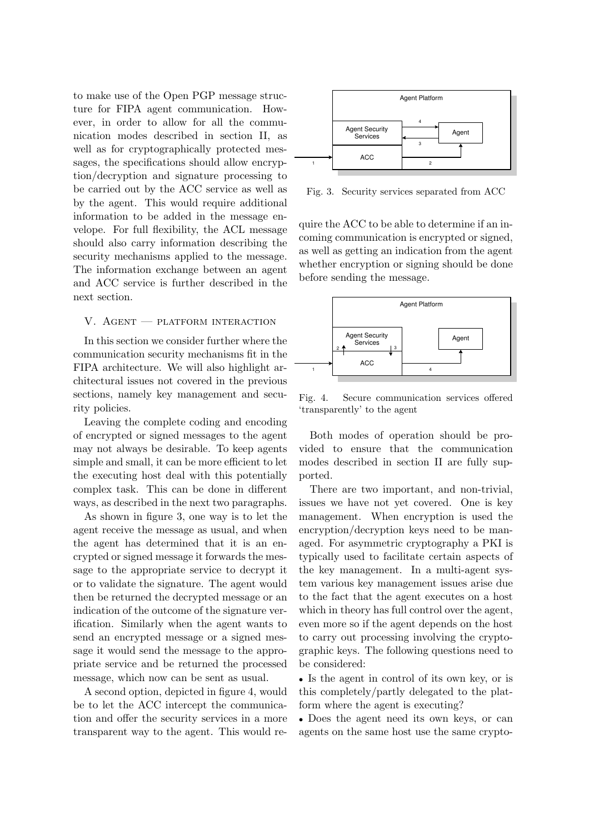to make use of the Open PGP message structure for FIPA agent communication. However, in order to allow for all the communication modes described in section II, as well as for cryptographically protected messages, the specifications should allow encryption/decryption and signature processing to be carried out by the ACC service as well as by the agent. This would require additional information to be added in the message envelope. For full flexibility, the ACL message should also carry information describing the security mechanisms applied to the message. The information exchange between an agent and ACC service is further described in the next section.

# V. Agent — platform interaction

In this section we consider further where the communication security mechanisms fit in the FIPA architecture. We will also highlight architectural issues not covered in the previous sections, namely key management and security policies.

Leaving the complete coding and encoding of encrypted or signed messages to the agent may not always be desirable. To keep agents simple and small, it can be more efficient to let the executing host deal with this potentially complex task. This can be done in different ways, as described in the next two paragraphs.

As shown in figure 3, one way is to let the agent receive the message as usual, and when the agent has determined that it is an encrypted or signed message it forwards the message to the appropriate service to decrypt it or to validate the signature. The agent would then be returned the decrypted message or an indication of the outcome of the signature verification. Similarly when the agent wants to send an encrypted message or a signed message it would send the message to the appropriate service and be returned the processed message, which now can be sent as usual.

A second option, depicted in figure 4, would be to let the ACC intercept the communication and offer the security services in a more transparent way to the agent. This would re-



Fig. 3. Security services separated from ACC

quire the ACC to be able to determine if an incoming communication is encrypted or signed, as well as getting an indication from the agent whether encryption or signing should be done before sending the message.



Fig. 4. Secure communication services offered 'transparently' to the agent

Both modes of operation should be provided to ensure that the communication modes described in section II are fully supported.

There are two important, and non-trivial, issues we have not yet covered. One is key management. When encryption is used the encryption/decryption keys need to be managed. For asymmetric cryptography a PKI is typically used to facilitate certain aspects of the key management. In a multi-agent system various key management issues arise due to the fact that the agent executes on a host which in theory has full control over the agent, even more so if the agent depends on the host to carry out processing involving the cryptographic keys. The following questions need to be considered:

• Is the agent in control of its own key, or is this completely/partly delegated to the platform where the agent is executing?

• Does the agent need its own keys, or can agents on the same host use the same crypto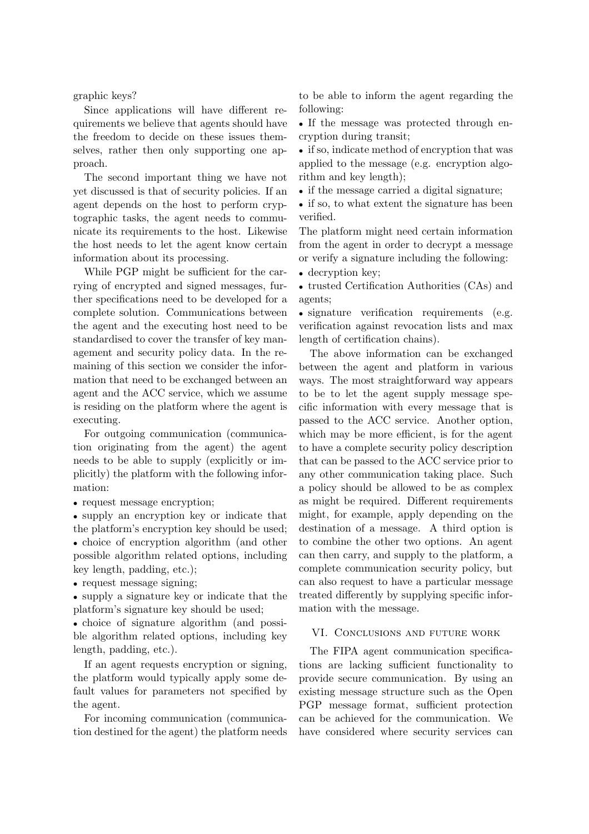graphic keys?

Since applications will have different requirements we believe that agents should have the freedom to decide on these issues themselves, rather then only supporting one approach.

The second important thing we have not yet discussed is that of security policies. If an agent depends on the host to perform cryptographic tasks, the agent needs to communicate its requirements to the host. Likewise the host needs to let the agent know certain information about its processing.

While PGP might be sufficient for the carrying of encrypted and signed messages, further specifications need to be developed for a complete solution. Communications between the agent and the executing host need to be standardised to cover the transfer of key management and security policy data. In the remaining of this section we consider the information that need to be exchanged between an agent and the ACC service, which we assume is residing on the platform where the agent is executing.

For outgoing communication (communication originating from the agent) the agent needs to be able to supply (explicitly or implicitly) the platform with the following information:

• request message encryption;

• supply an encryption key or indicate that the platform's encryption key should be used;

• choice of encryption algorithm (and other possible algorithm related options, including key length, padding, etc.);

• request message signing;

• supply a signature key or indicate that the platform's signature key should be used;

• choice of signature algorithm (and possible algorithm related options, including key length, padding, etc.).

If an agent requests encryption or signing, the platform would typically apply some default values for parameters not specified by the agent.

For incoming communication (communication destined for the agent) the platform needs to be able to inform the agent regarding the following:

• If the message was protected through encryption during transit;

• if so, indicate method of encryption that was applied to the message (e.g. encryption algorithm and key length);

• if the message carried a digital signature;

• if so, to what extent the signature has been verified.

The platform might need certain information from the agent in order to decrypt a message or verify a signature including the following:

• decryption key:

• trusted Certification Authorities (CAs) and agents;

• signature verification requirements (e.g. verification against revocation lists and max length of certification chains).

The above information can be exchanged between the agent and platform in various ways. The most straightforward way appears to be to let the agent supply message specific information with every message that is passed to the ACC service. Another option, which may be more efficient, is for the agent to have a complete security policy description that can be passed to the ACC service prior to any other communication taking place. Such a policy should be allowed to be as complex as might be required. Different requirements might, for example, apply depending on the destination of a message. A third option is to combine the other two options. An agent can then carry, and supply to the platform, a complete communication security policy, but can also request to have a particular message treated differently by supplying specific information with the message.

#### VI. Conclusions and future work

The FIPA agent communication specifications are lacking sufficient functionality to provide secure communication. By using an existing message structure such as the Open PGP message format, sufficient protection can be achieved for the communication. We have considered where security services can